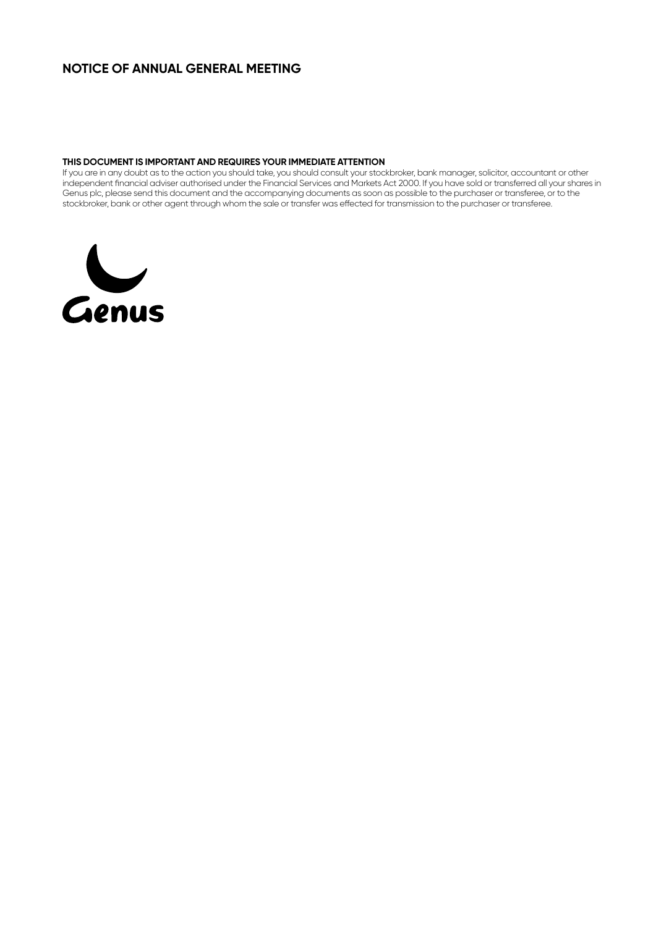# **NOTICE OF ANNUAL GENERAL MEETING**

# **THIS DOCUMENT IS IMPORTANT AND REQUIRES YOUR IMMEDIATE ATTENTION**

If you are in any doubt as to the action you should take, you should consult your stockbroker, bank manager, solicitor, accountant or other independent financial adviser authorised under the Financial Services and Markets Act 2000. If you have sold or transferred all your shares in Genus plc, please send this document and the accompanying documents as soon as possible to the purchaser or transferee, or to the stockbroker, bank or other agent through whom the sale or transfer was effected for transmission to the purchaser or transferee.

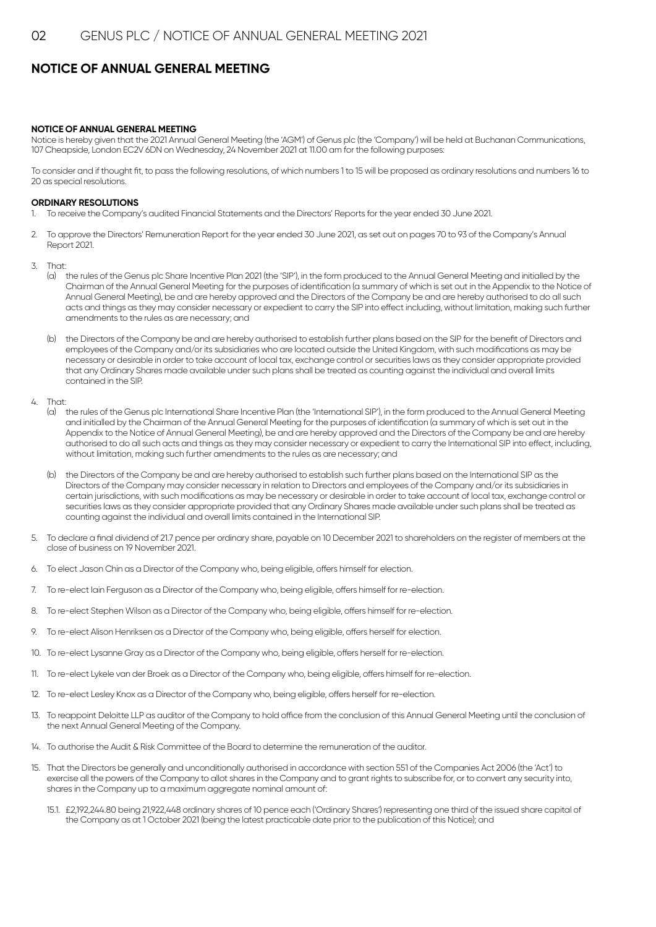# **NOTICE OF ANNUAL GENERAL MEETING**

### **NOTICE OF ANNUAL GENERAL MEETING**

Notice is hereby given that the 2021 Annual General Meeting (the 'AGM') of Genus plc (the 'Company') will be held at Buchanan Communications, 107 Cheapside, London EC2V 6DN on Wednesday, 24 November 2021 at 11.00 am for the following purposes:

To consider and if thought fit, to pass the following resolutions, of which numbers 1 to 15 will be proposed as ordinary resolutions and numbers 16 to 20 as special resolutions.

### **ORDINARY RESOLUTIONS**

- 1. To receive the Company's audited Financial Statements and the Directors' Reports for the year ended 30 June 2021.
- 2. To approve the Directors' Remuneration Report for the year ended 30 June 2021, as set out on pages 70 to 93 of the Company's Annual Report 2021.
- 3. That:
	- (a) the rules of the Genus plc Share Incentive Plan 2021 (the 'SIP'), in the form produced to the Annual General Meeting and initialled by the Chairman of the Annual General Meeting for the purposes of identification (a summary of which is set out in the Appendix to the Notice of Annual General Meeting), be and are hereby approved and the Directors of the Company be and are hereby authorised to do all such acts and things as they may consider necessary or expedient to carry the SIP into effect including, without limitation, making such further amendments to the rules as are necessary; and
	- (b) the Directors of the Company be and are hereby authorised to establish further plans based on the SIP for the benefit of Directors and employees of the Company and/or its subsidiaries who are located outside the United Kingdom, with such modifications as may be necessary or desirable in order to take account of local tax, exchange control or securities laws as they consider appropriate provided that any Ordinary Shares made available under such plans shall be treated as counting against the individual and overall limits contained in the SIP.
- 4. That:
	- (a) the rules of the Genus plc International Share Incentive Plan (the 'International SIP'), in the form produced to the Annual General Meeting and initialled by the Chairman of the Annual General Meeting for the purposes of identification (a summary of which is set out in the Appendix to the Notice of Annual General Meeting), be and are hereby approved and the Directors of the Company be and are hereby authorised to do all such acts and things as they may consider necessary or expedient to carry the International SIP into effect, including, without limitation, making such further amendments to the rules as are necessary; and
	- (b) the Directors of the Company be and are hereby authorised to establish such further plans based on the International SIP as the Directors of the Company may consider necessary in relation to Directors and employees of the Company and/or its subsidiaries in certain jurisdictions, with such modifications as may be necessary or desirable in order to take account of local tax, exchange control or securities laws as they consider appropriate provided that any Ordinary Shares made available under such plans shall be treated as counting against the individual and overall limits contained in the International SIP.
- 5. To declare a final dividend of 21.7 pence per ordinary share, payable on 10 December 2021 to shareholders on the register of members at the close of business on 19 November 2021.
- 6. To elect Jason Chin as a Director of the Company who, being eligible, offers himself for election.
- 7. To re-elect Iain Ferguson as a Director of the Company who, being eligible, offers himself for re-election.
- 8. To re-elect Stephen Wilson as a Director of the Company who, being eligible, offers himself for re-election.
- 9. To re-elect Alison Henriksen as a Director of the Company who, being eligible, offers herself for election.
- 10. To re-elect Lysanne Gray as a Director of the Company who, being eligible, offers herself for re-election.
- 11. To re-elect Lykele van der Broek as a Director of the Company who, being eligible, offers himself for re-election.
- 12. To re-elect Lesley Knox as a Director of the Company who, being eligible, offers herself for re-election.
- 13. To reappoint Deloitte LLP as auditor of the Company to hold office from the conclusion of this Annual General Meeting until the conclusion of the next Annual General Meeting of the Company.
- 14. To authorise the Audit & Risk Committee of the Board to determine the remuneration of the auditor.
- 15. That the Directors be generally and unconditionally authorised in accordance with section 551 of the Companies Act 2006 (the 'Act') to exercise all the powers of the Company to allot shares in the Company and to grant rights to subscribe for, or to convert any security into, shares in the Company up to a maximum aggregate nominal amount of:
	- 15.1. £2,192,244.80 being 21,922,448 ordinary shares of 10 pence each ('Ordinary Shares') representing one third of the issued share capital of the Company as at 1 October 2021 (being the latest practicable date prior to the publication of this Notice); and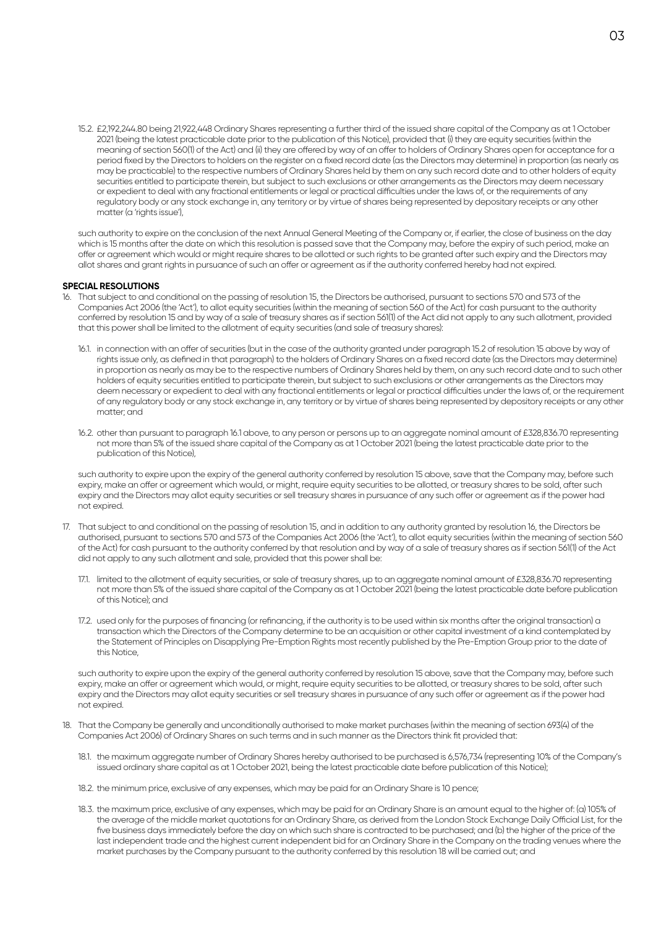15.2. £2,192,244.80 being 21,922,448 Ordinary Shares representing a further third of the issued share capital of the Company as at 1 October 2021 (being the latest practicable date prior to the publication of this Notice), provided that (i) they are equity securities (within the meaning of section 560(1) of the Act) and (ii) they are offered by way of an offer to holders of Ordinary Shares open for acceptance for a period fixed by the Directors to holders on the register on a fixed record date (as the Directors may determine) in proportion (as nearly as may be practicable) to the respective numbers of Ordinary Shares held by them on any such record date and to other holders of equity securities entitled to participate therein, but subject to such exclusions or other arrangements as the Directors may deem necessary or expedient to deal with any fractional entitlements or legal or practical difficulties under the laws of, or the requirements of any regulatory body or any stock exchange in, any territory or by virtue of shares being represented by depositary receipts or any other matter (a 'rights issue'),

such authority to expire on the conclusion of the next Annual General Meeting of the Company or, if earlier, the close of business on the day which is 15 months after the date on which this resolution is passed save that the Company may, before the expiry of such period, make an offer or agreement which would or might require shares to be allotted or such rights to be granted after such expiry and the Directors may allot shares and grant rights in pursuance of such an offer or agreement as if the authority conferred hereby had not expired.

### **SPECIAL RESOLUTIONS**

- 16. That subject to and conditional on the passing of resolution 15, the Directors be authorised, pursuant to sections 570 and 573 of the Companies Act 2006 (the 'Act'), to allot equity securities (within the meaning of section 560 of the Act) for cash pursuant to the authority conferred by resolution 15 and by way of a sale of treasury shares as if section 561(1) of the Act did not apply to any such allotment, provided that this power shall be limited to the allotment of equity securities (and sale of treasury shares):
	- 16.1. in connection with an offer of securities (but in the case of the authority granted under paragraph 15.2 of resolution 15 above by way of rights issue only, as defined in that paragraph) to the holders of Ordinary Shares on a fixed record date (as the Directors may determine) in proportion as nearly as may be to the respective numbers of Ordinary Shares held by them, on any such record date and to such other holders of equity securities entitled to participate therein, but subject to such exclusions or other arrangements as the Directors may deem necessary or expedient to deal with any fractional entitlements or legal or practical difficulties under the laws of, or the requirement of any regulatory body or any stock exchange in, any territory or by virtue of shares being represented by depository receipts or any other matter; and
	- 16.2. other than pursuant to paragraph 16.1 above, to any person or persons up to an aggregate nominal amount of £328,836.70 representing not more than 5% of the issued share capital of the Company as at 1 October 2021 (being the latest practicable date prior to the publication of this Notice),

such authority to expire upon the expiry of the general authority conferred by resolution 15 above, save that the Company may, before such expiry, make an offer or agreement which would, or might, require equity securities to be allotted, or treasury shares to be sold, after such expiry and the Directors may allot equity securities or sell treasury shares in pursuance of any such offer or agreement as if the power had not expired.

- 17. That subject to and conditional on the passing of resolution 15, and in addition to any authority granted by resolution 16, the Directors be authorised, pursuant to sections 570 and 573 of the Companies Act 2006 (the 'Act'), to allot equity securities (within the meaning of section 560 of the Act) for cash pursuant to the authority conferred by that resolution and by way of a sale of treasury shares as if section 561(1) of the Act did not apply to any such allotment and sale, provided that this power shall be:
	- 17.1. limited to the allotment of equity securities, or sale of treasury shares, up to an aggregate nominal amount of £328,836.70 representing not more than 5% of the issued share capital of the Company as at 1 October 2021 (being the latest practicable date before publication of this Notice); and
	- 17.2. used only for the purposes of financing (or refinancing, if the authority is to be used within six months after the original transaction) a transaction which the Directors of the Company determine to be an acquisition or other capital investment of a kind contemplated by the Statement of Principles on Disapplying Pre-Emption Rights most recently published by the Pre-Emption Group prior to the date of this Notice,

such authority to expire upon the expiry of the general authority conferred by resolution 15 above, save that the Company may, before such expiry, make an offer or agreement which would, or might, require equity securities to be allotted, or treasury shares to be sold, after such expiry and the Directors may allot equity securities or sell treasury shares in pursuance of any such offer or agreement as if the power had not expired.

- 18. That the Company be generally and unconditionally authorised to make market purchases (within the meaning of section 693(4) of the Companies Act 2006) of Ordinary Shares on such terms and in such manner as the Directors think fit provided that:
	- 18.1. the maximum aggregate number of Ordinary Shares hereby authorised to be purchased is 6,576,734 (representing 10% of the Company's issued ordinary share capital as at 1 October 2021, being the latest practicable date before publication of this Notice);
	- 18.2. the minimum price, exclusive of any expenses, which may be paid for an Ordinary Share is 10 pence;
	- 18.3. the maximum price, exclusive of any expenses, which may be paid for an Ordinary Share is an amount equal to the higher of: (a) 105% of the average of the middle market quotations for an Ordinary Share, as derived from the London Stock Exchange Daily Official List, for the five business days immediately before the day on which such share is contracted to be purchased; and (b) the higher of the price of the last independent trade and the highest current independent bid for an Ordinary Share in the Company on the trading venues where the market purchases by the Company pursuant to the authority conferred by this resolution 18 will be carried out; and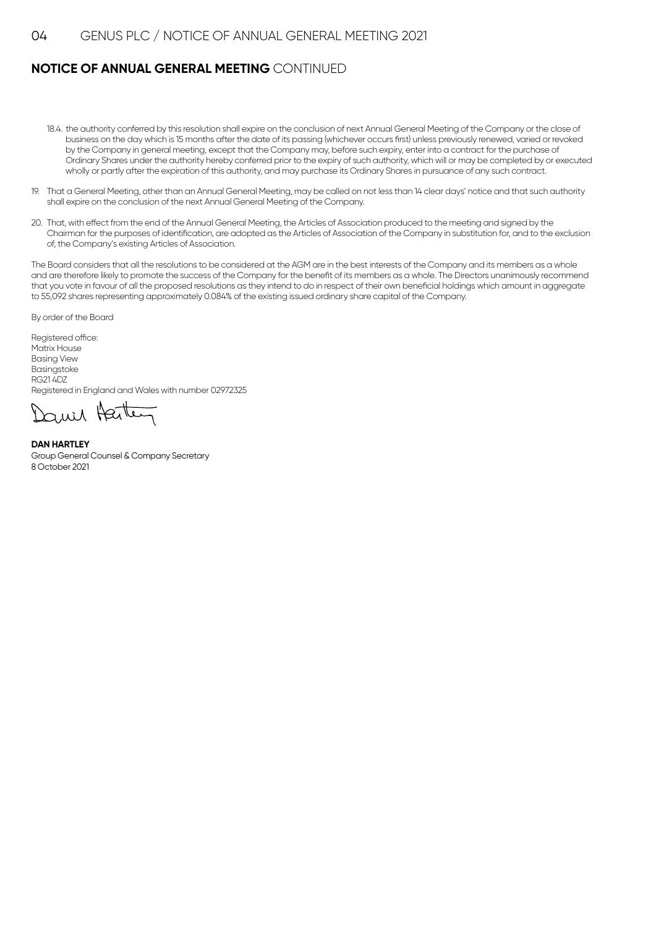# **NOTICE OF ANNUAL GENERAL MEETING** CONTINUED

- 18.4. the authority conferred by this resolution shall expire on the conclusion of next Annual General Meeting of the Company or the close of business on the day which is 15 months after the date of its passing (whichever occurs first) unless previously renewed, varied or revoked by the Company in general meeting, except that the Company may, before such expiry, enter into a contract for the purchase of Ordinary Shares under the authority hereby conferred prior to the expiry of such authority, which will or may be completed by or executed wholly or partly after the expiration of this authority, and may purchase its Ordinary Shares in pursuance of any such contract.
- 19. That a General Meeting, other than an Annual General Meeting, may be called on not less than 14 clear days' notice and that such authority shall expire on the conclusion of the next Annual General Meeting of the Company.
- 20. That, with effect from the end of the Annual General Meeting, the Articles of Association produced to the meeting and signed by the Chairman for the purposes of identification, are adopted as the Articles of Association of the Company in substitution for, and to the exclusion of, the Company's existing Articles of Association.

The Board considers that all the resolutions to be considered at the AGM are in the best interests of the Company and its members as a whole and are therefore likely to promote the success of the Company for the benefit of its members as a whole. The Directors unanimously recommend that you vote in favour of all the proposed resolutions as they intend to do in respect of their own beneficial holdings which amount in aggregate to 55,092 shares representing approximately 0.084% of the existing issued ordinary share capital of the Company.

By order of the Board

Registered office: Matrix House Basing View **Basingstoke** RG21 4DZ Registered in England and Wales with number 02972325

auer Harten

**DAN HARTLEY** Group General Counsel & Company Secretary 8 October 2021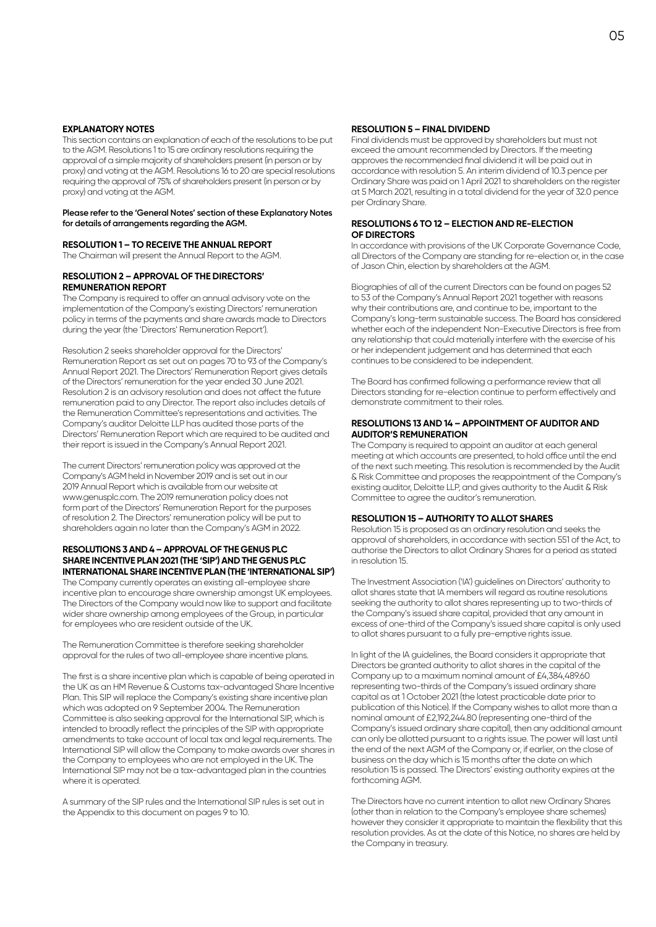### **EXPLANATORY NOTES**

This section contains an explanation of each of the resolutions to be put to the AGM. Resolutions 1 to 15 are ordinary resolutions requiring the approval of a simple majority of shareholders present (in person or by proxy) and voting at the AGM. Resolutions 16 to 20 are special resolutions requiring the approval of 75% of shareholders present (in person or by proxy) and voting at the AGM.

### **Please refer to the 'General Notes' section of these Explanatory Notes for details of arrangements regarding the AGM.**

### **RESOLUTION 1 – TO RECEIVE THE ANNUAL REPORT**

The Chairman will present the Annual Report to the AGM.

## **RESOLUTION 2 – APPROVAL OF THE DIRECTORS' REMUNERATION REPORT**

The Company is required to offer an annual advisory vote on the implementation of the Company's existing Directors' remuneration policy in terms of the payments and share awards made to Directors during the year (the 'Directors' Remuneration Report').

Resolution 2 seeks shareholder approval for the Directors' Remuneration Report as set out on pages 70 to 93 of the Company's Annual Report 2021. The Directors' Remuneration Report gives details of the Directors' remuneration for the year ended 30 June 2021. Resolution 2 is an advisory resolution and does not affect the future remuneration paid to any Director. The report also includes details of the Remuneration Committee's representations and activities. The Company's auditor Deloitte LLP has audited those parts of the Directors' Remuneration Report which are required to be audited and their report is issued in the Company's Annual Report 2021.

The current Directors' remuneration policy was approved at the Company's AGM held in November 2019 and is set out in our 2019 Annual Report which is available from our website at www.genusplc.com. The 2019 remuneration policy does not form part of the Directors' Remuneration Report for the purposes of resolution 2. The Directors' remuneration policy will be put to shareholders again no later than the Company's AGM in 2022.

### **RESOLUTIONS 3 AND 4 – APPROVAL OF THE GENUS PLC SHARE INCENTIVE PLAN 2021 (THE 'SIP') AND THE GENUS PLC INTERNATIONAL SHARE INCENTIVE PLAN (THE 'INTERNATIONAL SIP')**

The Company currently operates an existing all-employee share incentive plan to encourage share ownership amongst UK employees. The Directors of the Company would now like to support and facilitate wider share ownership among employees of the Group, in particular for employees who are resident outside of the UK.

The Remuneration Committee is therefore seeking shareholder approval for the rules of two all-employee share incentive plans.

The first is a share incentive plan which is capable of being operated in the UK as an HM Revenue & Customs tax-advantaged Share Incentive Plan. This SIP will replace the Company's existing share incentive plan which was adopted on 9 September 2004. The Remuneration Committee is also seeking approval for the International SIP, which is intended to broadly reflect the principles of the SIP with appropriate amendments to take account of local tax and legal requirements. The International SIP will allow the Company to make awards over shares in the Company to employees who are not employed in the UK. The International SIP may not be a tax-advantaged plan in the countries where it is operated.

A summary of the SIP rules and the International SIP rules is set out in the Appendix to this document on pages 9 to 10.

## **RESOLUTION 5 – FINAL DIVIDEND**

Final dividends must be approved by shareholders but must not exceed the amount recommended by Directors. If the meeting approves the recommended final dividend it will be paid out in accordance with resolution 5. An interim dividend of 10.3 pence per Ordinary Share was paid on 1 April 2021 to shareholders on the register at 5 March 2021, resulting in a total dividend for the year of 32.0 pence per Ordinary Share.

## **RESOLUTIONS 6 TO 12 – ELECTION AND RE-ELECTION OF DIRECTORS**

In accordance with provisions of the UK Corporate Governance Code, all Directors of the Company are standing for re-election or, in the case of Jason Chin, election by shareholders at the AGM.

Biographies of all of the current Directors can be found on pages 52 to 53 of the Company's Annual Report 2021 together with reasons why their contributions are, and continue to be, important to the Company's long-term sustainable success. The Board has considered whether each of the independent Non-Executive Directors is free from any relationship that could materially interfere with the exercise of his or her independent judgement and has determined that each continues to be considered to be independent.

The Board has confirmed following a performance review that all Directors standing for re-election continue to perform effectively and demonstrate commitment to their roles.

### **RESOLUTIONS 13 AND 14 – APPOINTMENT OF AUDITOR AND AUDITOR'S REMUNERATION**

The Company is required to appoint an auditor at each general meeting at which accounts are presented, to hold office until the end of the next such meeting. This resolution is recommended by the Audit & Risk Committee and proposes the reappointment of the Company's existing auditor, Deloitte LLP, and gives authority to the Audit & Risk Committee to agree the auditor's remuneration.

### **RESOLUTION 15 – AUTHORITY TO ALLOT SHARES**

Resolution 15 is proposed as an ordinary resolution and seeks the approval of shareholders, in accordance with section 551 of the Act, to authorise the Directors to allot Ordinary Shares for a period as stated in resolution 15.

The Investment Association ('IA') guidelines on Directors' authority to allot shares state that IA members will regard as routine resolutions seeking the authority to allot shares representing up to two-thirds of the Company's issued share capital, provided that any amount in excess of one-third of the Company's issued share capital is only used to allot shares pursuant to a fully pre-emptive rights issue.

In light of the IA guidelines, the Board considers it appropriate that Directors be granted authority to allot shares in the capital of the Company up to a maximum nominal amount of £4,384,489.60 representing two-thirds of the Company's issued ordinary share capital as at 1 October 2021 (the latest practicable date prior to publication of this Notice). If the Company wishes to allot more than a nominal amount of £2,192,244.80 (representing one-third of the Company's issued ordinary share capital), then any additional amount can only be allotted pursuant to a rights issue. The power will last until the end of the next AGM of the Company or, if earlier, on the close of business on the day which is 15 months after the date on which resolution 15 is passed. The Directors' existing authority expires at the forthcoming AGM.

The Directors have no current intention to allot new Ordinary Shares (other than in relation to the Company's employee share schemes) however they consider it appropriate to maintain the flexibility that this resolution provides. As at the date of this Notice, no shares are held by the Company in treasury.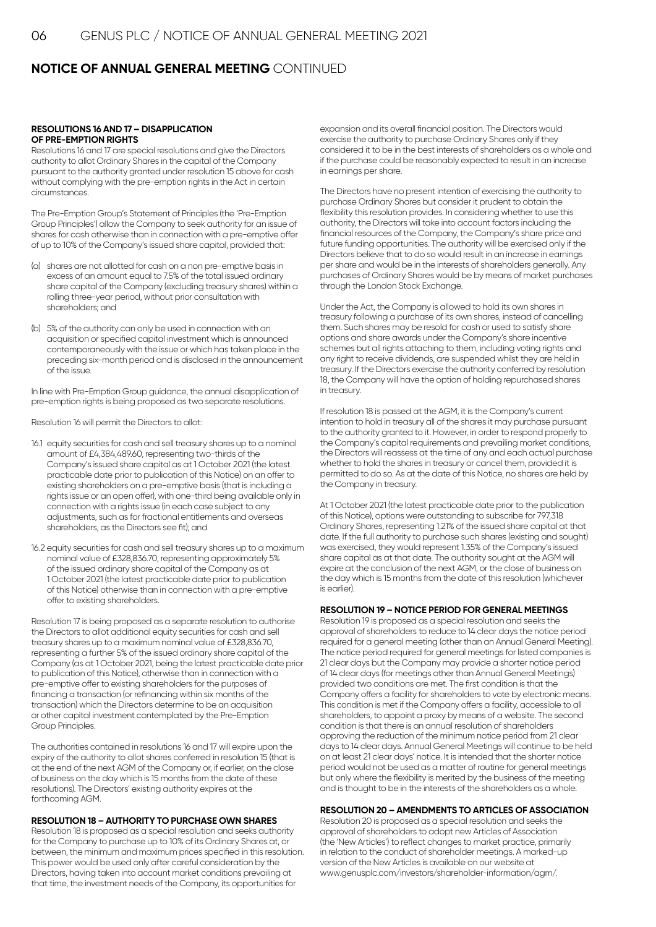# **NOTICE OF ANNUAL GENERAL MEETING** CONTINUED

### **RESOLUTIONS 16 AND 17 – DISAPPLICATION OF PRE-EMPTION RIGHTS**

Resolutions 16 and 17 are special resolutions and give the Directors authority to allot Ordinary Shares in the capital of the Company pursuant to the authority granted under resolution 15 above for cash without complying with the pre-emption rights in the Act in certain circumstances.

The Pre-Emption Group's Statement of Principles (the 'Pre-Emption Group Principles') allow the Company to seek authority for an issue of shares for cash otherwise than in connection with a pre-emptive offer of up to 10% of the Company's issued share capital, provided that:

- (a) shares are not allotted for cash on a non pre-emptive basis in excess of an amount equal to 7.5% of the total issued ordinary share capital of the Company (excluding treasury shares) within a rolling three-year period, without prior consultation with shareholders; and
- (b) 5% of the authority can only be used in connection with an acquisition or specified capital investment which is announced contemporaneously with the issue or which has taken place in the preceding six-month period and is disclosed in the announcement of the issue.

In line with Pre-Emption Group guidance, the annual disapplication of pre-emption rights is being proposed as two separate resolutions.

Resolution 16 will permit the Directors to allot:

- 16.1 equity securities for cash and sell treasury shares up to a nominal amount of £4,384,489.60, representing two-thirds of the Company's issued share capital as at 1 October 2021 (the latest practicable date prior to publication of this Notice) on an offer to existing shareholders on a pre-emptive basis (that is including a rights issue or an open offer), with one-third being available only in connection with a rights issue (in each case subject to any adjustments, such as for fractional entitlements and overseas shareholders, as the Directors see fit); and
- 16.2 equity securities for cash and sell treasury shares up to a maximum nominal value of £328,836.70, representing approximately 5% of the issued ordinary share capital of the Company as at 1 October 2021 (the latest practicable date prior to publication of this Notice) otherwise than in connection with a pre-emptive offer to existing shareholders.

Resolution 17 is being proposed as a separate resolution to authorise the Directors to allot additional equity securities for cash and sell treasury shares up to a maximum nominal value of £328,836.70, representing a further 5% of the issued ordinary share capital of the Company (as at 1 October 2021, being the latest practicable date prior to publication of this Notice), otherwise than in connection with a pre-emptive offer to existing shareholders for the purposes of financing a transaction (or refinancing within six months of the transaction) which the Directors determine to be an acquisition or other capital investment contemplated by the Pre-Emption Group Principles.

The authorities contained in resolutions 16 and 17 will expire upon the expiry of the authority to allot shares conferred in resolution 15 (that is at the end of the next AGM of the Company or, if earlier, on the close of business on the day which is 15 months from the date of these resolutions). The Directors' existing authority expires at the forthcoming AGM.

# **RESOLUTION 18 – AUTHORITY TO PURCHASE OWN SHARES**

Resolution 18 is proposed as a special resolution and seeks authority for the Company to purchase up to 10% of its Ordinary Shares at, or between, the minimum and maximum prices specified in this resolution. This power would be used only after careful consideration by the Directors, having taken into account market conditions prevailing at that time, the investment needs of the Company, its opportunities for

expansion and its overall financial position. The Directors would exercise the authority to purchase Ordinary Shares only if they considered it to be in the best interests of shareholders as a whole and if the purchase could be reasonably expected to result in an increase in earnings per share.

The Directors have no present intention of exercising the authority to purchase Ordinary Shares but consider it prudent to obtain the flexibility this resolution provides. In considering whether to use this authority, the Directors will take into account factors including the financial resources of the Company, the Company's share price and future funding opportunities. The authority will be exercised only if the Directors believe that to do so would result in an increase in earnings per share and would be in the interests of shareholders generally. Any purchases of Ordinary Shares would be by means of market purchases through the London Stock Exchange.

Under the Act, the Company is allowed to hold its own shares in treasury following a purchase of its own shares, instead of cancelling them. Such shares may be resold for cash or used to satisfy share options and share awards under the Company's share incentive schemes but all rights attaching to them, including voting rights and any right to receive dividends, are suspended whilst they are held in treasury. If the Directors exercise the authority conferred by resolution 18, the Company will have the option of holding repurchased shares in treasury.

If resolution 18 is passed at the AGM, it is the Company's current intention to hold in treasury all of the shares it may purchase pursuant to the authority granted to it. However, in order to respond properly to the Company's capital requirements and prevailing market conditions, the Directors will reassess at the time of any and each actual purchase whether to hold the shares in treasury or cancel them, provided it is permitted to do so. As at the date of this Notice, no shares are held by the Company in treasury.

At 1 October 2021 (the latest practicable date prior to the publication of this Notice), options were outstanding to subscribe for 797,318 Ordinary Shares, representing 1.21% of the issued share capital at that date. If the full authority to purchase such shares (existing and sought) was exercised, they would represent 1.35% of the Company's issued share capital as at that date. The authority sought at the AGM will expire at the conclusion of the next AGM, or the close of business on the day which is 15 months from the date of this resolution (whichever is earlier).

## **RESOLUTION 19 – NOTICE PERIOD FOR GENERAL MEETINGS**

Resolution 19 is proposed as a special resolution and seeks the approval of shareholders to reduce to 14 clear days the notice period required for a general meeting (other than an Annual General Meeting). The notice period required for general meetings for listed companies is 21 clear days but the Company may provide a shorter notice period of 14 clear days (for meetings other than Annual General Meetings) provided two conditions are met. The first condition is that the Company offers a facility for shareholders to vote by electronic means. This condition is met if the Company offers a facility, accessible to all shareholders, to appoint a proxy by means of a website. The second condition is that there is an annual resolution of shareholders approving the reduction of the minimum notice period from 21 clear days to 14 clear days. Annual General Meetings will continue to be held on at least 21 clear days' notice. It is intended that the shorter notice period would not be used as a matter of routine for general meetings but only where the flexibility is merited by the business of the meeting and is thought to be in the interests of the shareholders as a whole.

### **RESOLUTION 20 – AMENDMENTS TO ARTICLES OF ASSOCIATION**

Resolution 20 is proposed as a special resolution and seeks the approval of shareholders to adopt new Articles of Association (the 'New Articles') to reflect changes to market practice, primarily in relation to the conduct of shareholder meetings. A marked-up version of the New Articles is available on our website at www.genusplc.com/investors/shareholder-information/agm/.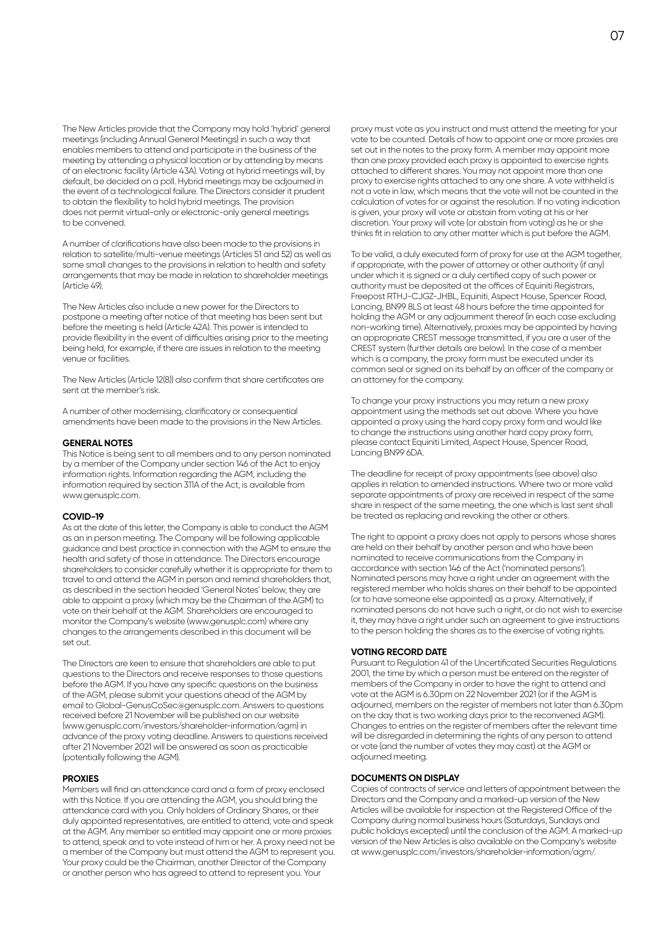The New Articles provide that the Company may hold 'hybrid' general meetings (including Annual General Meetings) in such a way that enables members to attend and participate in the business of the meeting by attending a physical location or by attending by means of an electronic facility (Article 43A). Voting at hybrid meetings will, by default, be decided on a poll. Hybrid meetings may be adjourned in the event of a technological failure. The Directors consider it prudent to obtain the flexibility to hold hybrid meetings. The provision does not permit virtual-only or electronic-only general meetings to be convened.

A number of clarifications have also been made to the provisions in relation to satellite/multi-venue meetings (Articles 51 and 52) as well as some small changes to the provisions in relation to health and safety arrangements that may be made in relation to shareholder meetings (Article 49).

The New Articles also include a new power for the Directors to postpone a meeting after notice of that meeting has been sent but before the meeting is held (Article 42A). This power is intended to provide flexibility in the event of difficulties arising prior to the meeting being held, for example, if there are issues in relation to the meeting venue or facilities.

The New Articles (Article 12(8)) also confirm that share certificates are sent at the member's risk.

A number of other modernising, clarificatory or consequential amendments have been made to the provisions in the New Articles.

#### **GENERAL NOTES**

This Notice is being sent to all members and to any person nominated by a member of the Company under section 146 of the Act to enjoy information rights. Information regarding the AGM, including the information required by section 311A of the Act, is available from www.genusplc.com.

#### **COVID-19**

As at the date of this letter, the Company is able to conduct the AGM as an in person meeting. The Company will be following applicable guidance and best practice in connection with the AGM to ensure the health and safety of those in attendance. The Directors encourage shareholders to consider carefully whether it is appropriate for them to travel to and attend the AGM in person and remind shareholders that, as described in the section headed 'General Notes' below, they are able to appoint a proxy (which may be the Chairman of the AGM) to vote on their behalf at the AGM. Shareholders are encouraged to monitor the Company's website (www.genusplc.com) where any changes to the arrangements described in this document will be set out.

The Directors are keen to ensure that shareholders are able to put questions to the Directors and receive responses to those questions before the AGM. If you have any specific questions on the business of the AGM, please submit your questions ahead of the AGM by email to Global-GenusCoSec@genusplc.com. Answers to questions received before 21 November will be published on our website (www.genusplc.com/investors/shareholder-information/agm) in advance of the proxy voting deadline. Answers to questions received after 21 November 2021 will be answered as soon as practicable (potentially following the AGM).

### **PROXIES**

Members will find an attendance card and a form of proxy enclosed with this Notice. If you are attending the AGM, you should bring the attendance card with you. Only holders of Ordinary Shares, or their duly appointed representatives, are entitled to attend, vote and speak at the AGM. Any member so entitled may appoint one or more proxies to attend, speak and to vote instead of him or her. A proxy need not be a member of the Company but must attend the AGM to represent you. Your proxy could be the Chairman, another Director of the Company or another person who has agreed to attend to represent you. Your

proxy must vote as you instruct and must attend the meeting for your vote to be counted. Details of how to appoint one or more proxies are set out in the notes to the proxy form. A member may appoint more than one proxy provided each proxy is appointed to exercise rights attached to different shares. You may not appoint more than one proxy to exercise rights attached to any one share. A vote withheld is not a vote in law, which means that the vote will not be counted in the calculation of votes for or against the resolution. If no voting indication is given, your proxy will vote or abstain from voting at his or her discretion. Your proxy will vote (or abstain from voting) as he or she thinks fit in relation to any other matter which is put before the AGM.

To be valid, a duly executed form of proxy for use at the AGM together, if appropriate, with the power of attorney or other authority (if any) under which it is signed or a duly certified copy of such power or authority must be deposited at the offices of Equiniti Registrars, Freepost RTHJ-CJGZ-JHBL, Equiniti, Aspect House, Spencer Road, Lancing, BN99 8LS at least 48 hours before the time appointed for holding the AGM or any adjournment thereof (in each case excluding non-working time). Alternatively, proxies may be appointed by having an appropriate CREST message transmitted, if you are a user of the CREST system (further details are below). In the case of a member which is a company, the proxy form must be executed under its common seal or signed on its behalf by an officer of the company or an attorney for the company.

To change your proxy instructions you may return a new proxy appointment using the methods set out above. Where you have appointed a proxy using the hard copy proxy form and would like to change the instructions using another hard copy proxy form, please contact Equiniti Limited, Aspect House, Spencer Road, Lancing BN99 6DA.

The deadline for receipt of proxy appointments (see above) also applies in relation to amended instructions. Where two or more valid separate appointments of proxy are received in respect of the same share in respect of the same meeting, the one which is last sent shall be treated as replacing and revoking the other or others.

The right to appoint a proxy does not apply to persons whose shares are held on their behalf by another person and who have been nominated to receive communications from the Company in accordance with section 146 of the Act ('nominated persons'). Nominated persons may have a right under an agreement with the registered member who holds shares on their behalf to be appointed (or to have someone else appointed) as a proxy. Alternatively, if nominated persons do not have such a right, or do not wish to exercise it, they may have a right under such an agreement to give instructions to the person holding the shares as to the exercise of voting rights.

### **VOTING RECORD DATE**

Pursuant to Regulation 41 of the Uncertificated Securities Regulations 2001, the time by which a person must be entered on the reaister of members of the Company in order to have the right to attend and vote at the AGM is 6.30pm on 22 November 2021 (or if the AGM is adjourned, members on the register of members not later than 6.30pm on the day that is two working days prior to the reconvened AGM). Changes to entries on the register of members after the relevant time will be disregarded in determining the rights of any person to attend or vote (and the number of votes they may cast) at the AGM or adjourned meeting.

#### **DOCUMENTS ON DISPLAY**

Copies of contracts of service and letters of appointment between the Directors and the Company and a marked-up version of the New Articles will be available for inspection at the Registered Office of the Company during normal business hours (Saturdays, Sundays and public holidays excepted) until the conclusion of the AGM. A marked-up version of the New Articles is also available on the Company's website at www.genusplc.com/investors/shareholder-information/agm/.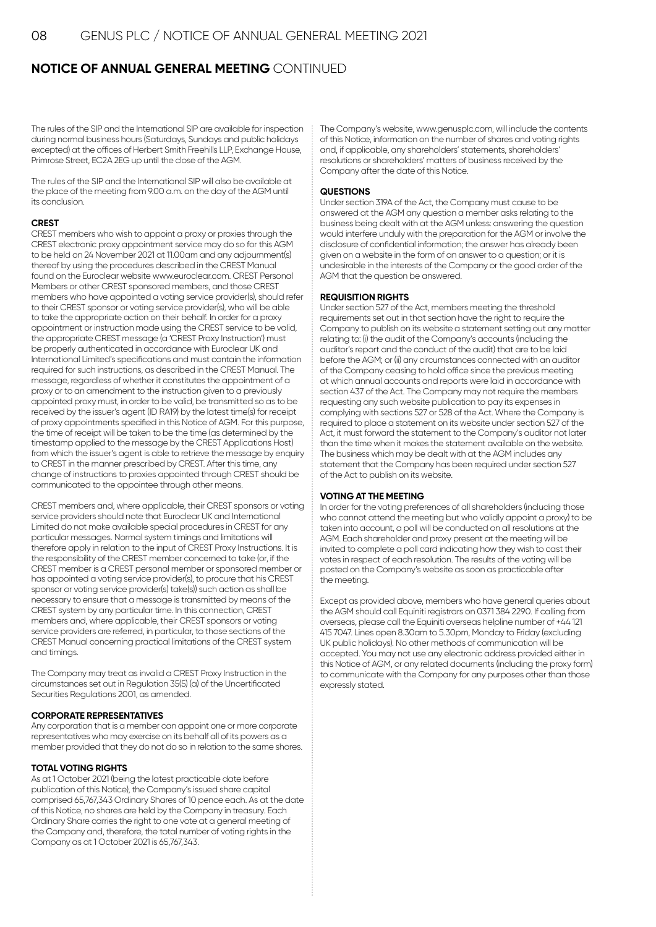# **NOTICE OF ANNUAL GENERAL MEETING** CONTINUED

The rules of the SIP and the International SIP are available for inspection during normal business hours (Saturdays, Sundays and public holidays excepted) at the offices of Herbert Smith Freehills LLP, Exchange House, Primrose Street, EC2A 2EG up until the close of the AGM.

The rules of the SIP and the International SIP will also be available at the place of the meeting from 9.00 a.m. on the day of the AGM until its conclusion.

## **CREST**

CREST members who wish to appoint a proxy or proxies through the CREST electronic proxy appointment service may do so for this AGM to be held on 24 November 2021 at 11.00am and any adjournment(s) thereof by using the procedures described in the CREST Manual found on the Euroclear website www.euroclear.com. CREST Personal Members or other CREST sponsored members, and those CREST members who have appointed a voting service provider(s), should refer to their CREST sponsor or voting service provider(s), who will be able to take the appropriate action on their behalf. In order for a proxy appointment or instruction made using the CREST service to be valid, the appropriate CREST message (a 'CREST Proxy Instruction') must be properly authenticated in accordance with Euroclear UK and International Limited's specifications and must contain the information required for such instructions, as described in the CREST Manual. The message, regardless of whether it constitutes the appointment of a proxy or to an amendment to the instruction given to a previously appointed proxy must, in order to be valid, be transmitted so as to be received by the issuer's agent (ID RA19) by the latest time(s) for receipt of proxy appointments specified in this Notice of AGM. For this purpose, the time of receipt will be taken to be the time (as determined by the timestamp applied to the message by the CREST Applications Host) from which the issuer's agent is able to retrieve the message by enquiry to CREST in the manner prescribed by CREST. After this time, any change of instructions to proxies appointed through CREST should be communicated to the appointee through other means.

CREST members and, where applicable, their CREST sponsors or voting service providers should note that Euroclear UK and International Limited do not make available special procedures in CREST for any particular messages. Normal system timings and limitations will therefore apply in relation to the input of CREST Proxy Instructions. It is the responsibility of the CREST member concerned to take (or, if the CREST member is a CREST personal member or sponsored member or has appointed a voting service provider(s), to procure that his CREST sponsor or voting service provider(s) take(s)) such action as shall be necessary to ensure that a message is transmitted by means of the CREST system by any particular time. In this connection, CREST members and, where applicable, their CREST sponsors or voting service providers are referred, in particular, to those sections of the CREST Manual concerning practical limitations of the CREST system and timings.

The Company may treat as invalid a CREST Proxy Instruction in the circumstances set out in Regulation 35(5) (a) of the Uncertificated Securities Regulations 2001, as amended.

## **CORPORATE REPRESENTATIVES**

Any corporation that is a member can appoint one or more corporate representatives who may exercise on its behalf all of its powers as a member provided that they do not do so in relation to the same shares.

### **TOTAL VOTING RIGHTS**

As at 1 October 2021 (being the latest practicable date before publication of this Notice), the Company's issued share capital comprised 65,767,343 Ordinary Shares of 10 pence each. As at the date of this Notice, no shares are held by the Company in treasury. Each Ordinary Share carries the right to one vote at a general meeting of the Company and, therefore, the total number of voting rights in the Company as at 1 October 2021 is 65,767,343.

The Company's website, www.genusplc.com, will include the contents of this Notice, information on the number of shares and voting rights and, if applicable, any shareholders' statements, shareholders' resolutions or shareholders' matters of business received by the Company after the date of this Notice.

## **QUESTIONS**

Under section 319A of the Act, the Company must cause to be answered at the AGM any question a member asks relating to the business being dealt with at the AGM unless: answering the question would interfere unduly with the preparation for the AGM or involve the disclosure of confidential information; the answer has already been given on a website in the form of an answer to a question; or it is undesirable in the interests of the Company or the good order of the AGM that the question be answered.

### **REQUISITION RIGHTS**

Under section 527 of the Act, members meeting the threshold requirements set out in that section have the right to require the Company to publish on its website a statement setting out any matter relating to: (i) the audit of the Company's accounts (including the auditor's report and the conduct of the audit) that are to be laid before the AGM; or (ii) any circumstances connected with an auditor of the Company ceasing to hold office since the previous meeting at which annual accounts and reports were laid in accordance with section 437 of the Act. The Company may not require the members requesting any such website publication to pay its expenses in complying with sections 527 or 528 of the Act. Where the Company is required to place a statement on its website under section 527 of the Act, it must forward the statement to the Company's auditor not later than the time when it makes the statement available on the website. The business which may be dealt with at the AGM includes any statement that the Company has been required under section 527 of the Act to publish on its website.

## **VOTING AT THE MEETING**

In order for the voting preferences of all shareholders (including those who cannot attend the meeting but who validly appoint a proxy) to be taken into account, a poll will be conducted on all resolutions at the AGM. Each shareholder and proxy present at the meeting will be invited to complete a poll card indicating how they wish to cast their votes in respect of each resolution. The results of the voting will be posted on the Company's website as soon as practicable after the meeting.

Except as provided above, members who have general queries about the AGM should call Equiniti registrars on 0371 384 2290. If calling from overseas, please call the Equiniti overseas helpline number of +44 121 415 7047. Lines open 8.30am to 5.30pm, Monday to Friday (excluding UK public holidays). No other methods of communication will be accepted. You may not use any electronic address provided either in this Notice of AGM, or any related documents (including the proxy form) to communicate with the Company for any purposes other than those expressly stated.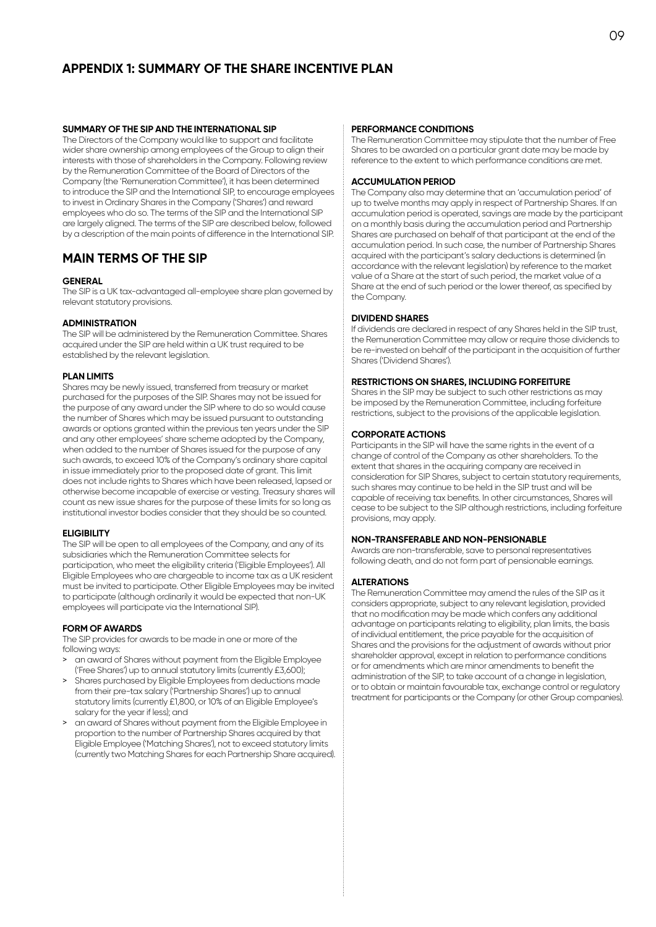# **APPENDIX 1: SUMMARY OF THE SHARE INCENTIVE PLAN**

#### **SUMMARY OF THE SIP AND THE INTERNATIONAL SIP**

The Directors of the Company would like to support and facilitate wider share ownership among employees of the Group to align their interests with those of shareholders in the Company. Following review by the Remuneration Committee of the Board of Directors of the Company (the 'Remuneration Committee'), it has been determined to introduce the SIP and the International SIP, to encourage employees to invest in Ordinary Shares in the Company ('Shares') and reward employees who do so. The terms of the SIP and the International SIP are largely aligned. The terms of the SIP are described below, followed by a description of the main points of difference in the International SIP.

# **MAIN TERMS OF THE SIP**

#### **GENERAL**

The SIP is a UK tax-advantaged all-employee share plan governed by relevant statutory provisions.

### **ADMINISTRATION**

The SIP will be administered by the Remuneration Committee. Shares acquired under the SIP are held within a UK trust required to be established by the relevant legislation.

### **PLAN LIMITS**

Shares may be newly issued, transferred from treasury or market purchased for the purposes of the SIP. Shares may not be issued for the purpose of any award under the SIP where to do so would cause the number of Shares which may be issued pursuant to outstanding awards or options granted within the previous ten years under the SIP and any other employees' share scheme adopted by the Company, when added to the number of Shares issued for the purpose of any such awards, to exceed 10% of the Company's ordinary share capital in issue immediately prior to the proposed date of grant. This limit does not include rights to Shares which have been released, lapsed or otherwise become incapable of exercise or vesting. Treasury shares will count as new issue shares for the purpose of these limits for so long as institutional investor bodies consider that they should be so counted.

### **ELIGIBILITY**

The SIP will be open to all employees of the Company, and any of its subsidiaries which the Remuneration Committee selects for participation, who meet the eligibility criteria ('Eligible Employees'). All Eligible Employees who are chargeable to income tax as a UK resident must be invited to participate. Other Eligible Employees may be invited to participate (although ordinarily it would be expected that non-UK employees will participate via the International SIP).

## **FORM OF AWARDS**

The SIP provides for awards to be made in one or more of the following ways:

- an award of Shares without payment from the Eligible Employee ('Free Shares') up to annual statutory limits (currently £3,600);
- Shares purchased by Eligible Employees from deductions made from their pre-tax salary ('Partnership Shares') up to annual statutory limits (currently £1,800, or 10% of an Eligible Employee's salary for the year if less); and
- > an award of Shares without payment from the Eligible Employee in proportion to the number of Partnership Shares acquired by that Eligible Employee ('Matching Shares'), not to exceed statutory limits (currently two Matching Shares for each Partnership Share acquired).

## **PERFORMANCE CONDITIONS**

The Remuneration Committee may stipulate that the number of Free Shares to be awarded on a particular grant date may be made by reference to the extent to which performance conditions are met.

### **ACCUMULATION PERIOD**

The Company also may determine that an 'accumulation period' of up to twelve months may apply in respect of Partnership Shares. If an accumulation period is operated, savings are made by the participant on a monthly basis during the accumulation period and Partnership Shares are purchased on behalf of that participant at the end of the accumulation period. In such case, the number of Partnership Shares acquired with the participant's salary deductions is determined (in accordance with the relevant legislation) by reference to the market value of a Share at the start of such period, the market value of a Share at the end of such period or the lower thereof, as specified by the Company.

## **DIVIDEND SHARES**

If dividends are declared in respect of any Shares held in the SIP trust, the Remuneration Committee may allow or require those dividends to be re-invested on behalf of the participant in the acquisition of further Shares ('Dividend Shares').

# **RESTRICTIONS ON SHARES, INCLUDING FORFEITURE**

Shares in the SIP may be subject to such other restrictions as may be imposed by the Remuneration Committee, including forfeiture restrictions, subject to the provisions of the applicable legislation.

### **CORPORATE ACTIONS**

Participants in the SIP will have the same rights in the event of a change of control of the Company as other shareholders. To the extent that shares in the acquiring company are received in consideration for SIP Shares, subject to certain statutory requirements, such shares may continue to be held in the SIP trust and will be capable of receiving tax benefits. In other circumstances, Shares will cease to be subject to the SIP although restrictions, including forfeiture provisions, may apply.

## **NON-TRANSFERABLE AND NON-PENSIONABLE**

Awards are non-transferable, save to personal representatives following death, and do not form part of pensionable earnings.

## **ALTERATIONS**

The Remuneration Committee may amend the rules of the SIP as it considers appropriate, subject to any relevant legislation, provided that no modification may be made which confers any additional advantage on participants relating to eligibility, plan limits, the basis of individual entitlement, the price payable for the acquisition of Shares and the provisions for the adjustment of awards without prior shareholder approval, except in relation to performance conditions or for amendments which are minor amendments to benefit the administration of the SIP, to take account of a change in legislation, orto obtain or maintain favourable tax, exchange control or regulatory treatment for participants or the Company (or other Group companies).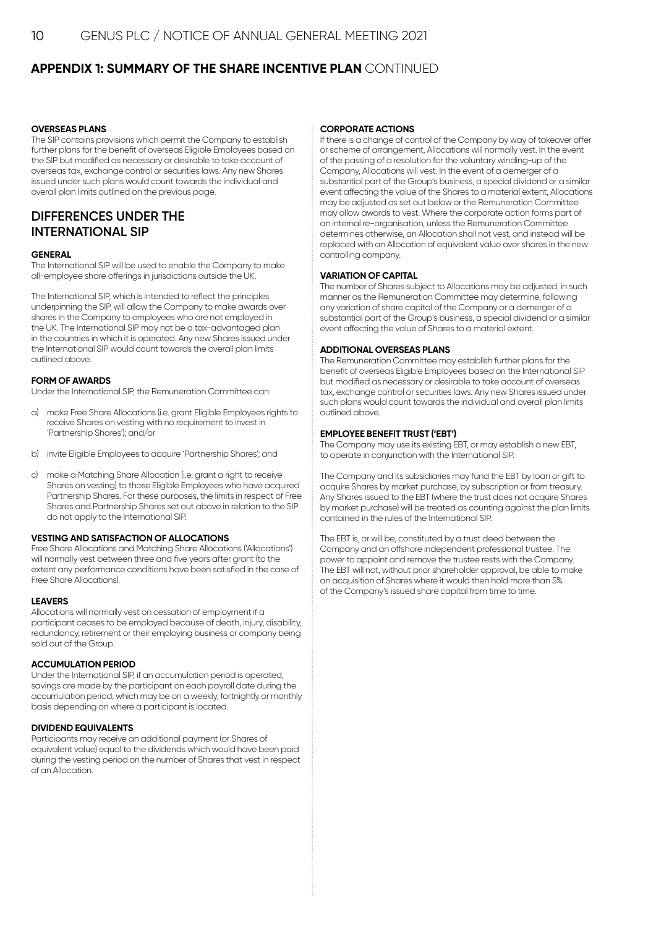# **APPENDIX 1: SUMMARY OF THE SHARE INCENTIVE PLAN** CONTINUED

### **OVERSEAS PLANS**

The SIP contains provisions which permit the Company to establish further plans for the benefit of overseas Eligible Employees based on the SIP but modified as necessary or desirable to take account of overseas tax, exchange control or securities laws. Any new Shares issued under such plans would count towards the individual and overall plan limits outlined on the previous page.

# **DIFFERENCES UNDER THE INTERNATIONAL SIP**

### **GENERAL**

The International SIP will be used to enable the Company to make all-employee share offerings in jurisdictions outside the UK.

The International SIP, which is intended to reflect the principles underpinning the SIP, will allow the Company to make awards over shares in the Company to employees who are not employed in the UK. The International SIP may not be a tax-advantaged plan in the countries in which it is operated. Any new Shares issued under the International SIP would count towards the overall plan limits outlined above.

# **FORM OF AWARDS**

Under the International SIP, the Remuneration Committee can:

- a) make Free Share Allocations (i.e. grant Eligible Employees rights to receive Shares on vesting with no requirement to invest in 'Partnership Shares'); and/or
- b) invite Eligible Employees to acquire 'Partnership Shares'; and
- c) make a Matching Share Allocation (i.e. grant a right to receive Shares on vesting) to those Eligible Employees who have acquired Partnership Shares. For these purposes, the limits in respect of Free Shares and Partnership Shares set out above in relation to the SIP do not apply to the International SIP.

### **VESTING AND SATISFACTION OF ALLOCATIONS**

Free Share Allocations and Matching Share Allocations ('Allocations') will normally vest between three and five years after grant (to the extent any performance conditions have been satisfied in the case of Free Share Allocations).

## **LEAVERS**

Allocations will normally vest on cessation of employment if a participant ceases to be employed because of death, injury, disability, redundancy, retirement or their employing business or company being sold out of the Group.

## **ACCUMULATION PERIOD**

Under the International SIP, if an accumulation period is operated, savings are made by the participant on each payroll date during the accumulation period, which may be on a weekly, fortnightly or monthly basis depending on where a participant is located.

# **DIVIDEND EQUIVALENTS**

Participants may receive an additional payment (or Shares of equivalent value) equal to the dividends which would have been paid during the vesting period on the number of Shares that vest in respect of an Allocation.

#### **CORPORATE ACTIONS**

If there is a change of control of the Company by way of takeover offer or scheme of arrangement, Allocations will normally vest. In the event of the passing of a resolution for the voluntary winding-up of the Company, Allocations will vest. In the event of a demerger of a substantial part of the Group's business, a special dividend or a similar event affecting the value of the Shares to a material extent, Allocations may be adjusted as set out below or the Remuneration Committee may allow awards to vest. Where the corporate action forms part of an internal re-organisation, unless the Remuneration Committee determines otherwise, an Allocation shall not vest, and instead will be replaced with an Allocation of equivalent value over shares in the new controlling company.

### **VARIATION OF CAPITAL**

The number of Shares subject to Allocations may be adjusted, in such manner as the Remuneration Committee may determine, following any variation of share capital of the Company or a demerger of  $\alpha$ substantial part of the Group's business, a special dividend or a similar event affecting the value of Shares to a material extent.

#### **ADDITIONAL OVERSEAS PLANS**

The Remuneration Committee may establish further plans for the benefit of overseas Eligible Employees based on the International SIP but modified as necessary or desirable to take account of overseas tax, exchange control or securities laws. Any new Shares issued under such plans would count towards the individual and overall plan limits outlined above.

## **EMPLOYEE BENEFIT TRUST ('EBT')**

The Company may use its existing EBT, or may establish a new EBT, to operate in conjunction with the International SIP.

The Company and its subsidiaries may fund the EBT by loan or gift to acquire Shares by market purchase, by subscription or from treasury. Any Shares issued to the EBT (where the trust does not acquire Shares by market purchase) will be treated as counting against the plan limits contained in the rules of the International SIP.

The EBT is, or will be, constituted by a trust deed between the Company and an offshore independent professional trustee. The power to appoint and remove the trustee rests with the Company. The EBT will not, without prior shareholder approval, be able to make an acquisition of Shares where it would then hold more than 5% of the Company's issued share capital from time to time.